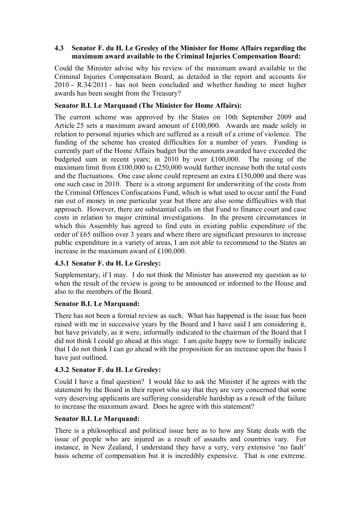### **4.3** � **Senator F. du H. Le Gresley of the Minister for Home Affairs regarding the maximum award available to the Criminal Injuries Compensation Board:**

Could the Minister advise why his review of the maximum award available to the Criminal Injuries Compensation Board, as detailed in the report and accounts for 2010 - R.34/2011 - has not been concluded and whether funding to meet higher awards has been sought from the Treasury?

### **Senator B.I. Le Marquand (The Minister for Home Affairs):**

The current scheme was approved by the States on 10th September 2009 and Article 25 sets a maximum award amount of £100,000. Awards are made solely in relation to personal injuries which are suffered as a result of a crime of violence. The funding of the scheme has created difficulties for a number of years. Funding is currently part of the Home Affairs budget but the amounts awarded have exceeded the budgeted sum in recent years; in 2010 by over £100,000. The raising of the maximum limit from £100,000 to £250,000 would further increase both the total costs and the fluctuations. One case alone could represent an extra £150,000 and there was one such case in 2010. There is a strong argument for underwriting of the costs from the Criminal Offences Confiscations Fund, which is what used to occur until the Fund ran out of money in one particular year but there are also some difficulties with that approach. However, there are substantial calls on that Fund to finance court and case costs in relation to major criminal investigations. In the present circumstances in which this Assembly has agreed to find cuts in existing public expenditure of the order of £65 million over 3 years and where there are significant pressures to increase public expenditure in a variety of areas, I am not able to recommend to the States an increase in the maximum award of £100,000.

# **4.3.1 Senator F. du H. Le Gresley:**

Supplementary, if I may. I do not think the Minister has answered my question as to when the result of the review is going to be announced or informed to the House and also to the members of the Board.

#### **Senator B.I. Le Marquand:**

There has not been a formal review as such. What has happened is the issue has been raised with me in successive years by the Board and I have said I am considering it, but have privately, as it were, informally indicated to the chairman of the Board that I did not think I could go ahead at this stage. I am quite happy now to formally indicate that I do not think I can go ahead with the proposition for an increase upon the basis I have just outlined.

# **4.3.2 Senator F. du H. Le Gresley:**

Could I have a final question? I would like to ask the Minister if he agrees with the statement by the Board in their report who say that they are very concerned that some very deserving applicants are suffering considerable hardship as a result of the failure to increase the maximum award. Does he agree with this statement?

# **Senator B.I. Le Marquand:**

There is a philosophical and political issue here as to how any State deals with the issue of people who are injured as a result of assaults and countries vary. For instance, in New Zealand, I understand they have a very, very extensive 'no fault' basis scheme of compensation but it is incredibly expensive. That is one extreme.